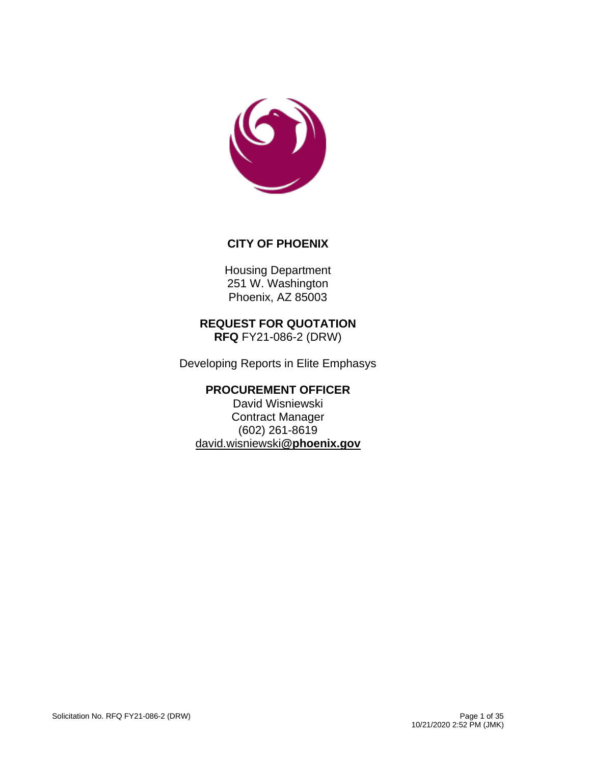

### **CITY OF PHOENIX**

Housing Department 251 W. Washington Phoenix, AZ 85003

#### **REQUEST FOR QUOTATION RFQ** FY21-086-2 (DRW)

Developing Reports in Elite Emphasys

# **PROCUREMENT OFFICER**

David Wisniewski Contract Manager (602) 261-8619 [david.wisniewski](mailto:david.wisniewski@phoenix.gov)**@phoenix.gov**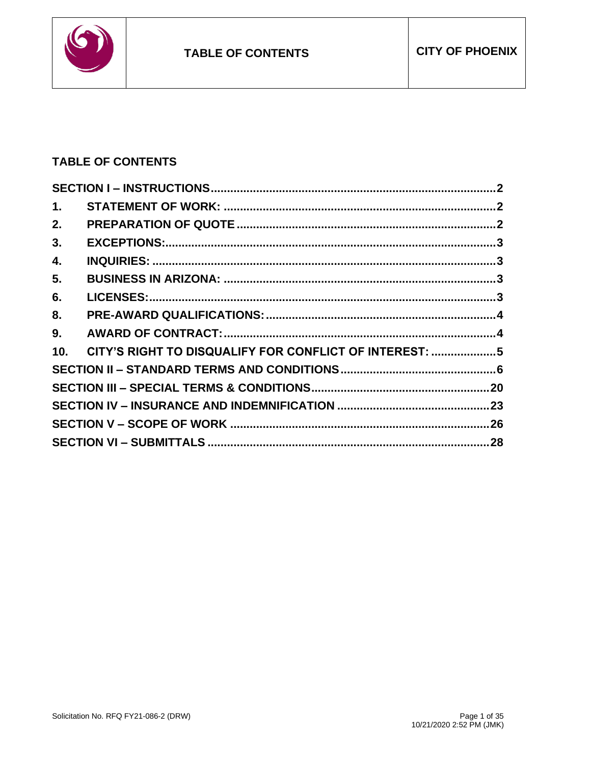

# **TABLE OF CONTENTS**

| 1.  |                                                        |  |
|-----|--------------------------------------------------------|--|
| 2.  |                                                        |  |
| 3.  |                                                        |  |
| 4.  |                                                        |  |
| 5.  |                                                        |  |
| 6.  |                                                        |  |
| 8.  |                                                        |  |
| 9.  |                                                        |  |
| 10. | CITY'S RIGHT TO DISQUALIFY FOR CONFLICT OF INTEREST: 5 |  |
|     |                                                        |  |
|     |                                                        |  |
|     |                                                        |  |
|     |                                                        |  |
|     |                                                        |  |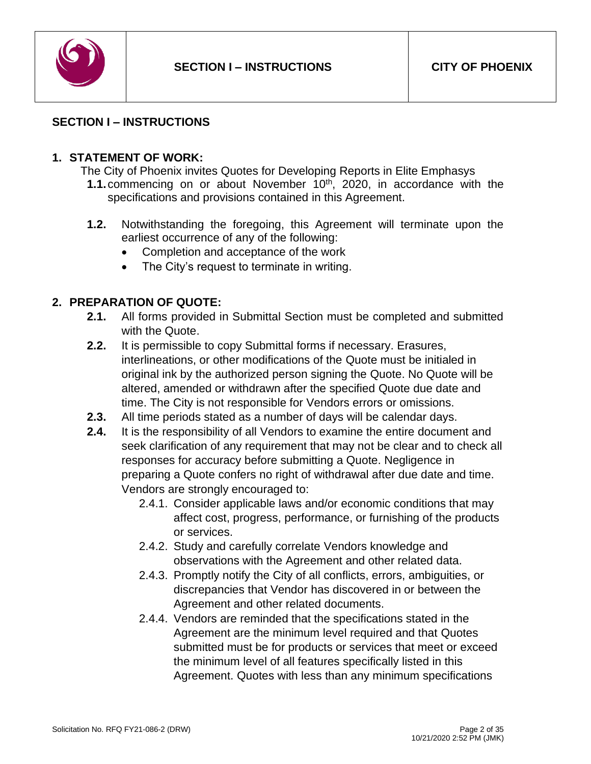

### <span id="page-2-0"></span>**SECTION I – INSTRUCTIONS**

### <span id="page-2-1"></span>**1. STATEMENT OF WORK:**

- The City of Phoenix invites Quotes for Developing Reports in Elite Emphasys **1.1.** commencing on or about November 10<sup>th</sup>, 2020, in accordance with the specifications and provisions contained in this Agreement.
- **1.2.** Notwithstanding the foregoing, this Agreement will terminate upon the earliest occurrence of any of the following:
	- Completion and acceptance of the work
	- The City's request to terminate in writing.

# <span id="page-2-2"></span>**2. PREPARATION OF QUOTE:**

- **2.1.** All forms provided in Submittal Section must be completed and submitted with the Quote.
- **2.2.** It is permissible to copy Submittal forms if necessary. Erasures, interlineations, or other modifications of the Quote must be initialed in original ink by the authorized person signing the Quote. No Quote will be altered, amended or withdrawn after the specified Quote due date and time. The City is not responsible for Vendors errors or omissions.
- **2.3.** All time periods stated as a number of days will be calendar days.
- **2.4.** It is the responsibility of all Vendors to examine the entire document and seek clarification of any requirement that may not be clear and to check all responses for accuracy before submitting a Quote. Negligence in preparing a Quote confers no right of withdrawal after due date and time. Vendors are strongly encouraged to:
	- 2.4.1. Consider applicable laws and/or economic conditions that may affect cost, progress, performance, or furnishing of the products or services.
	- 2.4.2. Study and carefully correlate Vendors knowledge and observations with the Agreement and other related data.
	- 2.4.3. Promptly notify the City of all conflicts, errors, ambiguities, or discrepancies that Vendor has discovered in or between the Agreement and other related documents.
	- 2.4.4. Vendors are reminded that the specifications stated in the Agreement are the minimum level required and that Quotes submitted must be for products or services that meet or exceed the minimum level of all features specifically listed in this Agreement. Quotes with less than any minimum specifications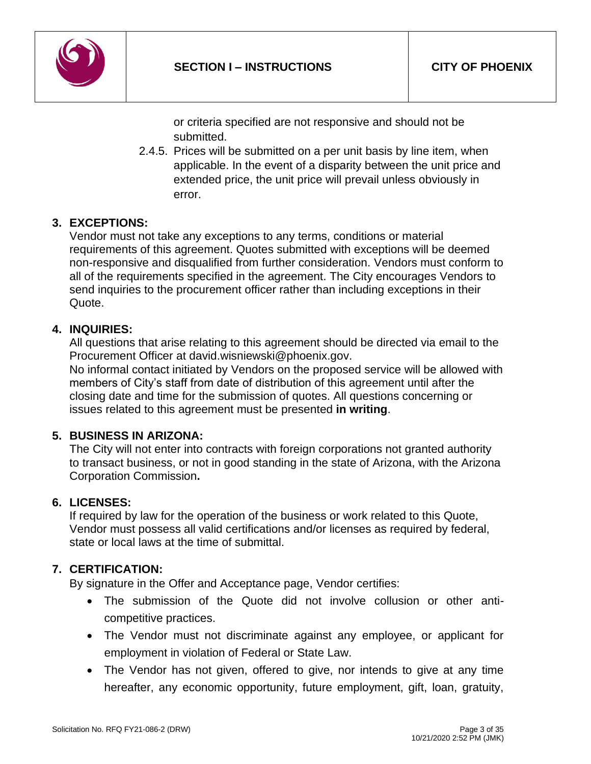

or criteria specified are not responsive and should not be submitted.

2.4.5. Prices will be submitted on a per unit basis by line item, when applicable. In the event of a disparity between the unit price and extended price, the unit price will prevail unless obviously in error.

# <span id="page-3-0"></span>**3. EXCEPTIONS:**

Vendor must not take any exceptions to any terms, conditions or material requirements of this agreement. Quotes submitted with exceptions will be deemed non-responsive and disqualified from further consideration. Vendors must conform to all of the requirements specified in the agreement. The City encourages Vendors to send inquiries to the procurement officer rather than including exceptions in their Quote.

# <span id="page-3-1"></span>**4. INQUIRIES:**

All questions that arise relating to this agreement should be directed via email to the Procurement Officer at david.wisniewski@phoenix.gov.

No informal contact initiated by Vendors on the proposed service will be allowed with members of City's staff from date of distribution of this agreement until after the closing date and time for the submission of quotes. All questions concerning or issues related to this agreement must be presented **in writing**.

# <span id="page-3-2"></span>**5. BUSINESS IN ARIZONA:**

The City will not enter into contracts with foreign corporations not granted authority to transact business, or not in good standing in the state of Arizona, with the Arizona Corporation Commission**.**

# <span id="page-3-3"></span>**6. LICENSES:**

If required by law for the operation of the business or work related to this Quote, Vendor must possess all valid certifications and/or licenses as required by federal, state or local laws at the time of submittal.

# **7. CERTIFICATION:**

By signature in the Offer and Acceptance page, Vendor certifies:

- The submission of the Quote did not involve collusion or other anticompetitive practices.
- The Vendor must not discriminate against any employee, or applicant for employment in violation of Federal or State Law.
- The Vendor has not given, offered to give, nor intends to give at any time hereafter, any economic opportunity, future employment, gift, loan, gratuity,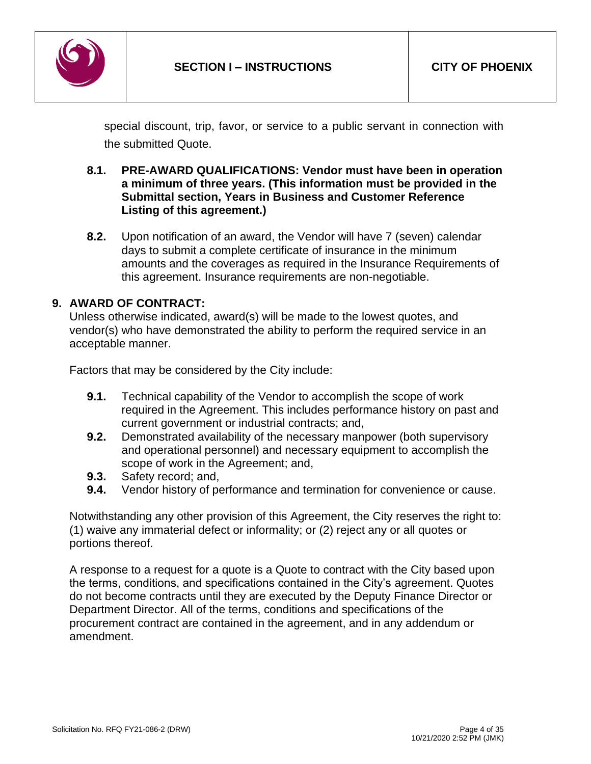

special discount, trip, favor, or service to a public servant in connection with the submitted Quote.

#### <span id="page-4-0"></span>**8.1. PRE-AWARD QUALIFICATIONS: Vendor must have been in operation a minimum of three years. (This information must be provided in the Submittal section, Years in Business and Customer Reference Listing of this agreement.)**

**8.2.** Upon notification of an award, the Vendor will have 7 (seven) calendar days to submit a complete certificate of insurance in the minimum amounts and the coverages as required in the Insurance Requirements of this agreement. Insurance requirements are non-negotiable.

### <span id="page-4-1"></span>**9. AWARD OF CONTRACT:**

Unless otherwise indicated, award(s) will be made to the lowest quotes, and vendor(s) who have demonstrated the ability to perform the required service in an acceptable manner.

Factors that may be considered by the City include:

- **9.1.** Technical capability of the Vendor to accomplish the scope of work required in the Agreement. This includes performance history on past and current government or industrial contracts; and,
- **9.2.** Demonstrated availability of the necessary manpower (both supervisory and operational personnel) and necessary equipment to accomplish the scope of work in the Agreement; and,
- **9.3.** Safety record; and,
- **9.4.** Vendor history of performance and termination for convenience or cause.

Notwithstanding any other provision of this Agreement, the City reserves the right to: (1) waive any immaterial defect or informality; or (2) reject any or all quotes or portions thereof.

A response to a request for a quote is a Quote to contract with the City based upon the terms, conditions, and specifications contained in the City's agreement. Quotes do not become contracts until they are executed by the Deputy Finance Director or Department Director. All of the terms, conditions and specifications of the procurement contract are contained in the agreement, and in any addendum or amendment.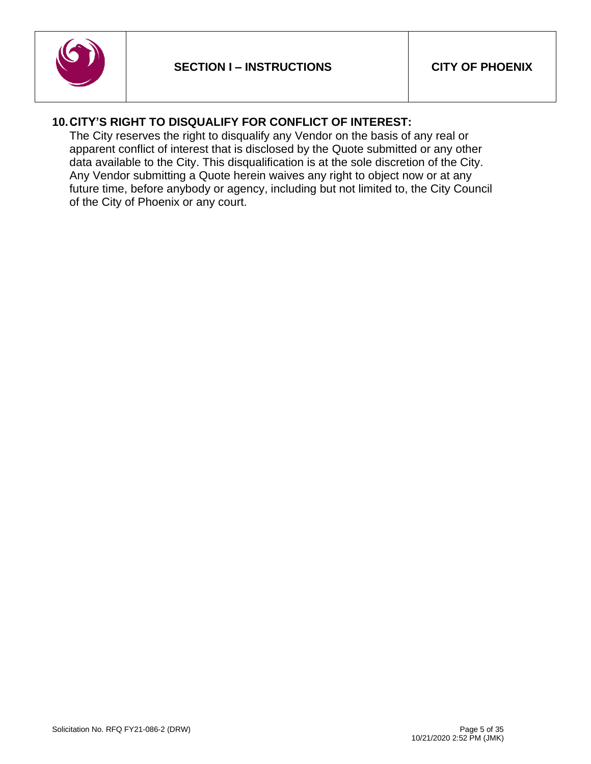

# <span id="page-5-0"></span>**10.CITY'S RIGHT TO DISQUALIFY FOR CONFLICT OF INTEREST:**

The City reserves the right to disqualify any Vendor on the basis of any real or apparent conflict of interest that is disclosed by the Quote submitted or any other data available to the City. This disqualification is at the sole discretion of the City. Any Vendor submitting a Quote herein waives any right to object now or at any future time, before anybody or agency, including but not limited to, the City Council of the City of Phoenix or any court.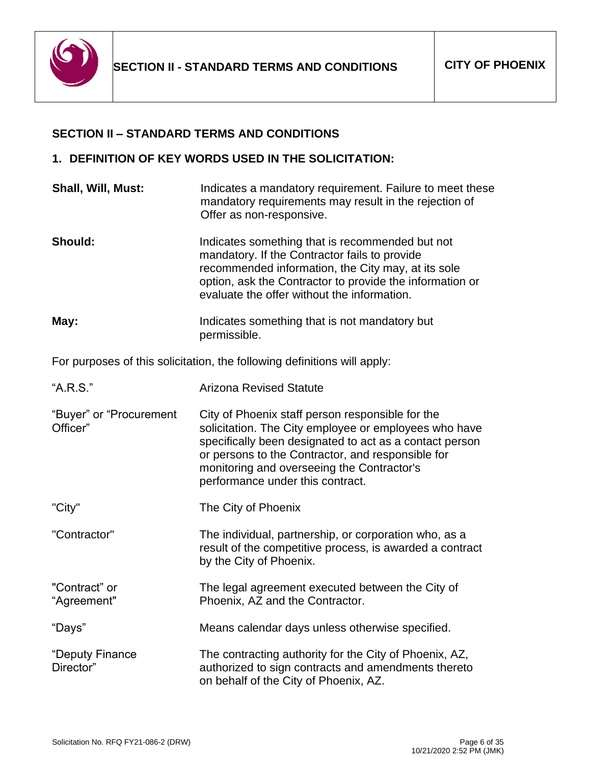

#### <span id="page-6-0"></span>**SECTION II – STANDARD TERMS AND CONDITIONS**

#### **1. DEFINITION OF KEY WORDS USED IN THE SOLICITATION:**

**Shall, Will, Must:** Indicates a mandatory requirement. Failure to meet these mandatory requirements may result in the rejection of Offer as non-responsive. **Should:** Indicates something that is recommended but not mandatory. If the Contractor fails to provide recommended information, the City may, at its sole option, ask the Contractor to provide the information or evaluate the offer without the information. **May:** Indicates something that is not mandatory but permissible. For purposes of this solicitation, the following definitions will apply: "A.R.S." Arizona Revised Statute "Buyer" or "Procurement Officer" City of Phoenix staff person responsible for the solicitation. The City employee or employees who have specifically been designated to act as a contact person or persons to the Contractor, and responsible for monitoring and overseeing the Contractor's performance under this contract. "City" The City of Phoenix "Contractor" The individual, partnership, or corporation who, as a result of the competitive process, is awarded a contract by the City of Phoenix. "Contract" or "Agreement" The legal agreement executed between the City of Phoenix, AZ and the Contractor. "Days" Means calendar days unless otherwise specified. "Deputy Finance Director" The contracting authority for the City of Phoenix, AZ, authorized to sign contracts and amendments thereto on behalf of the City of Phoenix, AZ.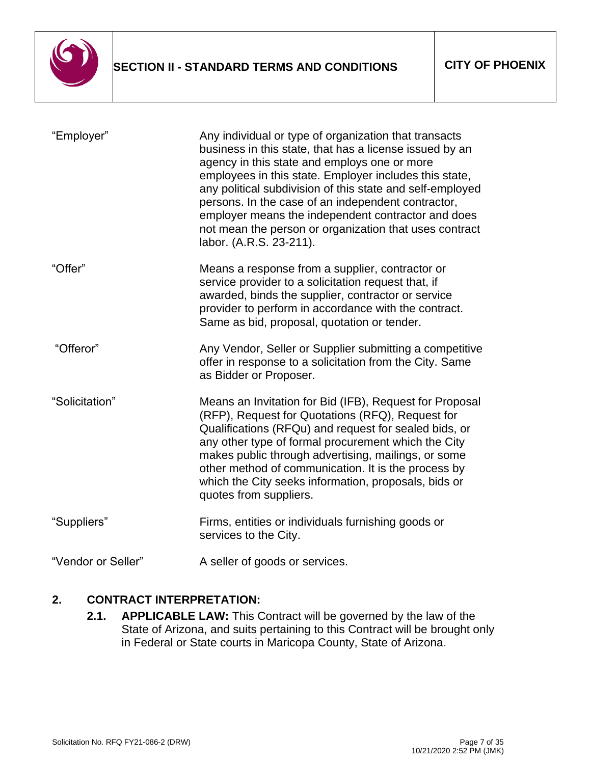

| "Employer"         | Any individual or type of organization that transacts<br>business in this state, that has a license issued by an<br>agency in this state and employs one or more<br>employees in this state. Employer includes this state,<br>any political subdivision of this state and self-employed<br>persons. In the case of an independent contractor,<br>employer means the independent contractor and does<br>not mean the person or organization that uses contract<br>labor. (A.R.S. 23-211). |
|--------------------|------------------------------------------------------------------------------------------------------------------------------------------------------------------------------------------------------------------------------------------------------------------------------------------------------------------------------------------------------------------------------------------------------------------------------------------------------------------------------------------|
| "Offer"            | Means a response from a supplier, contractor or<br>service provider to a solicitation request that, if<br>awarded, binds the supplier, contractor or service<br>provider to perform in accordance with the contract.<br>Same as bid, proposal, quotation or tender.                                                                                                                                                                                                                      |
| "Offeror"          | Any Vendor, Seller or Supplier submitting a competitive<br>offer in response to a solicitation from the City. Same<br>as Bidder or Proposer.                                                                                                                                                                                                                                                                                                                                             |
| "Solicitation"     | Means an Invitation for Bid (IFB), Request for Proposal<br>(RFP), Request for Quotations (RFQ), Request for<br>Qualifications (RFQu) and request for sealed bids, or<br>any other type of formal procurement which the City<br>makes public through advertising, mailings, or some<br>other method of communication. It is the process by<br>which the City seeks information, proposals, bids or<br>quotes from suppliers.                                                              |
| "Suppliers"        | Firms, entities or individuals furnishing goods or<br>services to the City.                                                                                                                                                                                                                                                                                                                                                                                                              |
| "Vendor or Seller" | A seller of goods or services.                                                                                                                                                                                                                                                                                                                                                                                                                                                           |

# **2. CONTRACT INTERPRETATION:**

**2.1. APPLICABLE LAW:** This Contract will be governed by the law of the State of Arizona, and suits pertaining to this Contract will be brought only in Federal or State courts in Maricopa County, State of Arizona.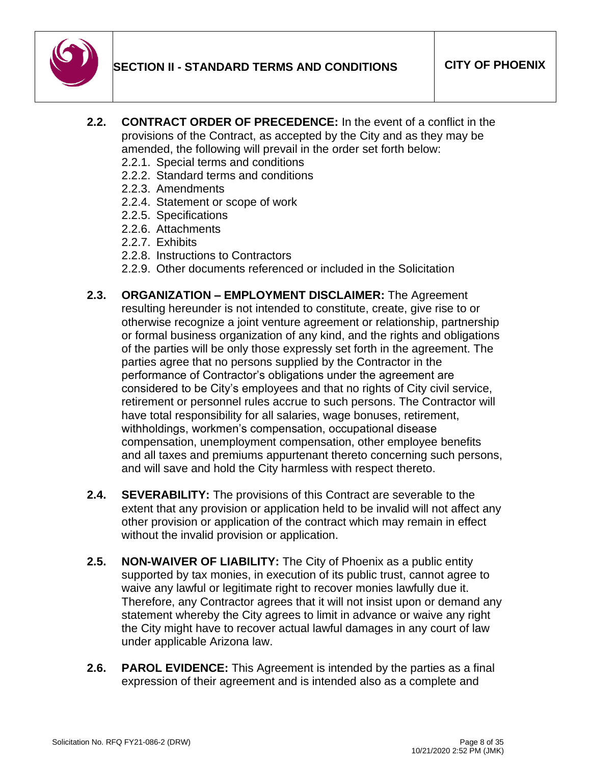

- **2.2. CONTRACT ORDER OF PRECEDENCE:** In the event of a conflict in the provisions of the Contract, as accepted by the City and as they may be amended, the following will prevail in the order set forth below:
	- 2.2.1. Special terms and conditions
	- 2.2.2. Standard terms and conditions
	- 2.2.3. Amendments
	- 2.2.4. Statement or scope of work
	- 2.2.5. Specifications
	- 2.2.6. Attachments
	- 2.2.7. Exhibits
	- 2.2.8. Instructions to Contractors
	- 2.2.9. Other documents referenced or included in the Solicitation
- **2.3. ORGANIZATION – EMPLOYMENT DISCLAIMER:** The Agreement resulting hereunder is not intended to constitute, create, give rise to or otherwise recognize a joint venture agreement or relationship, partnership or formal business organization of any kind, and the rights and obligations of the parties will be only those expressly set forth in the agreement. The parties agree that no persons supplied by the Contractor in the performance of Contractor's obligations under the agreement are considered to be City's employees and that no rights of City civil service, retirement or personnel rules accrue to such persons. The Contractor will have total responsibility for all salaries, wage bonuses, retirement, withholdings, workmen's compensation, occupational disease compensation, unemployment compensation, other employee benefits and all taxes and premiums appurtenant thereto concerning such persons, and will save and hold the City harmless with respect thereto.
- **2.4. SEVERABILITY:** The provisions of this Contract are severable to the extent that any provision or application held to be invalid will not affect any other provision or application of the contract which may remain in effect without the invalid provision or application.
- **2.5. NON-WAIVER OF LIABILITY:** The City of Phoenix as a public entity supported by tax monies, in execution of its public trust, cannot agree to waive any lawful or legitimate right to recover monies lawfully due it. Therefore, any Contractor agrees that it will not insist upon or demand any statement whereby the City agrees to limit in advance or waive any right the City might have to recover actual lawful damages in any court of law under applicable Arizona law.
- **2.6. PAROL EVIDENCE:** This Agreement is intended by the parties as a final expression of their agreement and is intended also as a complete and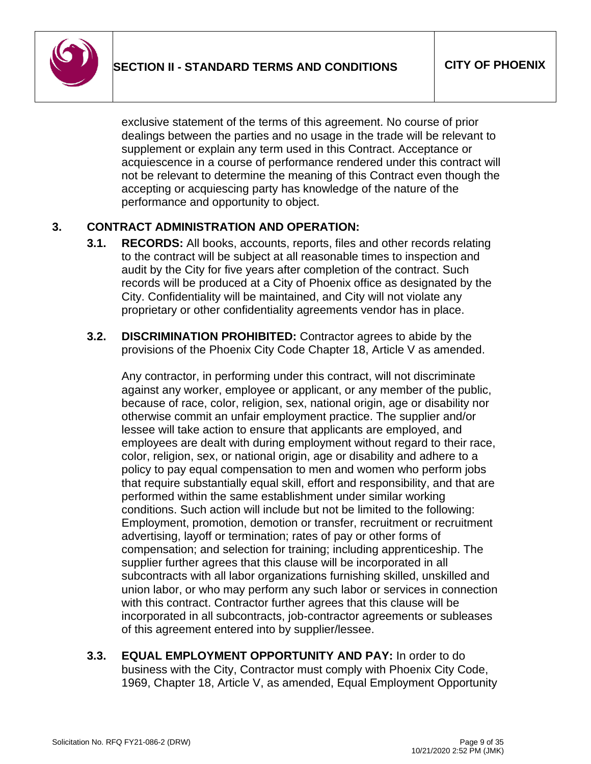

exclusive statement of the terms of this agreement. No course of prior dealings between the parties and no usage in the trade will be relevant to supplement or explain any term used in this Contract. Acceptance or acquiescence in a course of performance rendered under this contract will not be relevant to determine the meaning of this Contract even though the accepting or acquiescing party has knowledge of the nature of the performance and opportunity to object.

# **3. CONTRACT ADMINISTRATION AND OPERATION:**

- **3.1. RECORDS:** All books, accounts, reports, files and other records relating to the contract will be subject at all reasonable times to inspection and audit by the City for five years after completion of the contract. Such records will be produced at a City of Phoenix office as designated by the City. Confidentiality will be maintained, and City will not violate any proprietary or other confidentiality agreements vendor has in place.
- **3.2. DISCRIMINATION PROHIBITED:** Contractor agrees to abide by the provisions of the Phoenix City Code Chapter 18, Article V as amended.

Any contractor, in performing under this contract, will not discriminate against any worker, employee or applicant, or any member of the public, because of race, color, religion, sex, national origin, age or disability nor otherwise commit an unfair employment practice. The supplier and/or lessee will take action to ensure that applicants are employed, and employees are dealt with during employment without regard to their race, color, religion, sex, or national origin, age or disability and adhere to a policy to pay equal compensation to men and women who perform jobs that require substantially equal skill, effort and responsibility, and that are performed within the same establishment under similar working conditions. Such action will include but not be limited to the following: Employment, promotion, demotion or transfer, recruitment or recruitment advertising, layoff or termination; rates of pay or other forms of compensation; and selection for training; including apprenticeship. The supplier further agrees that this clause will be incorporated in all subcontracts with all labor organizations furnishing skilled, unskilled and union labor, or who may perform any such labor or services in connection with this contract. Contractor further agrees that this clause will be incorporated in all subcontracts, job-contractor agreements or subleases of this agreement entered into by supplier/lessee.

**3.3. EQUAL EMPLOYMENT OPPORTUNITY AND PAY:** In order to do business with the City, Contractor must comply with Phoenix City Code, 1969, Chapter 18, Article V, as amended, Equal Employment Opportunity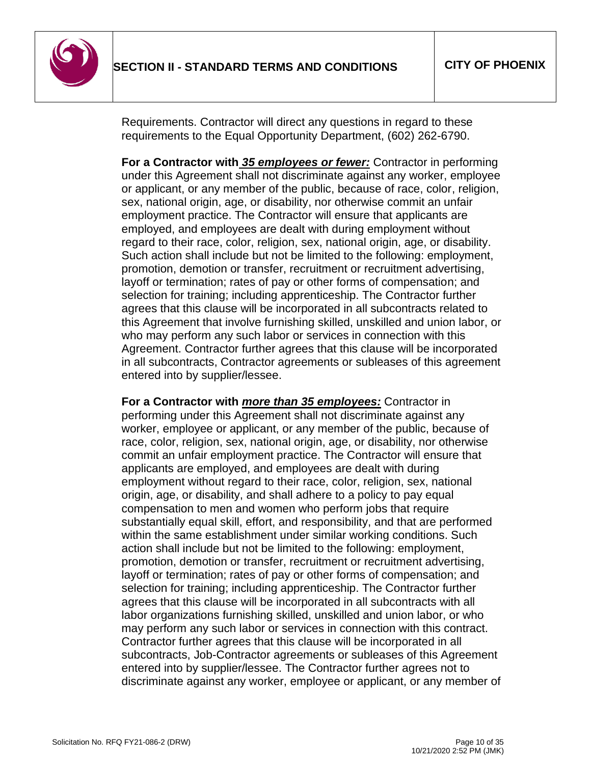

Requirements. Contractor will direct any questions in regard to these requirements to the Equal Opportunity Department, (602) 262-6790.

**For a Contractor with** *35 employees or fewer:* Contractor in performing under this Agreement shall not discriminate against any worker, employee or applicant, or any member of the public, because of race, color, religion, sex, national origin, age, or disability, nor otherwise commit an unfair employment practice. The Contractor will ensure that applicants are employed, and employees are dealt with during employment without regard to their race, color, religion, sex, national origin, age, or disability. Such action shall include but not be limited to the following: employment, promotion, demotion or transfer, recruitment or recruitment advertising, layoff or termination; rates of pay or other forms of compensation; and selection for training; including apprenticeship. The Contractor further agrees that this clause will be incorporated in all subcontracts related to this Agreement that involve furnishing skilled, unskilled and union labor, or who may perform any such labor or services in connection with this Agreement. Contractor further agrees that this clause will be incorporated in all subcontracts, Contractor agreements or subleases of this agreement entered into by supplier/lessee.

**For a Contractor with** *more than 35 employees:* Contractor in performing under this Agreement shall not discriminate against any worker, employee or applicant, or any member of the public, because of race, color, religion, sex, national origin, age, or disability, nor otherwise commit an unfair employment practice. The Contractor will ensure that applicants are employed, and employees are dealt with during employment without regard to their race, color, religion, sex, national origin, age, or disability, and shall adhere to a policy to pay equal compensation to men and women who perform jobs that require substantially equal skill, effort, and responsibility, and that are performed within the same establishment under similar working conditions. Such action shall include but not be limited to the following: employment, promotion, demotion or transfer, recruitment or recruitment advertising, layoff or termination; rates of pay or other forms of compensation; and selection for training; including apprenticeship. The Contractor further agrees that this clause will be incorporated in all subcontracts with all labor organizations furnishing skilled, unskilled and union labor, or who may perform any such labor or services in connection with this contract. Contractor further agrees that this clause will be incorporated in all subcontracts, Job-Contractor agreements or subleases of this Agreement entered into by supplier/lessee. The Contractor further agrees not to discriminate against any worker, employee or applicant, or any member of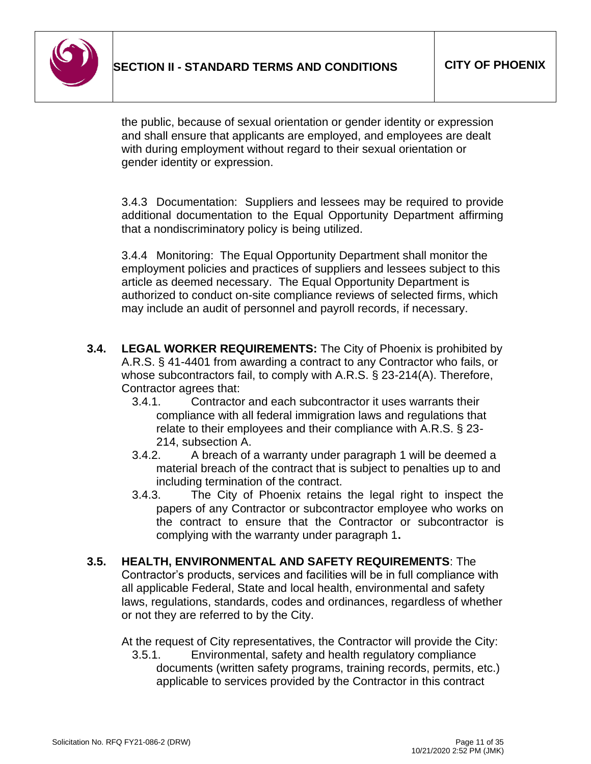

the public, because of sexual orientation or gender identity or expression and shall ensure that applicants are employed, and employees are dealt with during employment without regard to their sexual orientation or gender identity or expression.

3.4.3 Documentation: Suppliers and lessees may be required to provide additional documentation to the Equal Opportunity Department affirming that a nondiscriminatory policy is being utilized.

3.4.4 Monitoring: The Equal Opportunity Department shall monitor the employment policies and practices of suppliers and lessees subject to this article as deemed necessary. The Equal Opportunity Department is authorized to conduct on-site compliance reviews of selected firms, which may include an audit of personnel and payroll records, if necessary.

- **3.4. LEGAL WORKER REQUIREMENTS:** The City of Phoenix is prohibited by A.R.S. § 41-4401 from awarding a contract to any Contractor who fails, or whose subcontractors fail, to comply with A.R.S. § 23-214(A). Therefore, Contractor agrees that:
	- 3.4.1. Contractor and each subcontractor it uses warrants their compliance with all federal immigration laws and regulations that relate to their employees and their compliance with A.R.S. § 23- 214, subsection A.
	- 3.4.2. A breach of a warranty under paragraph 1 will be deemed a material breach of the contract that is subject to penalties up to and including termination of the contract.
	- 3.4.3. The City of Phoenix retains the legal right to inspect the papers of any Contractor or subcontractor employee who works on the contract to ensure that the Contractor or subcontractor is complying with the warranty under paragraph 1**.**
- **3.5. HEALTH, ENVIRONMENTAL AND SAFETY REQUIREMENTS**: The Contractor's products, services and facilities will be in full compliance with all applicable Federal, State and local health, environmental and safety laws, regulations, standards, codes and ordinances, regardless of whether or not they are referred to by the City.

At the request of City representatives, the Contractor will provide the City:

3.5.1. Environmental, safety and health regulatory compliance documents (written safety programs, training records, permits, etc.) applicable to services provided by the Contractor in this contract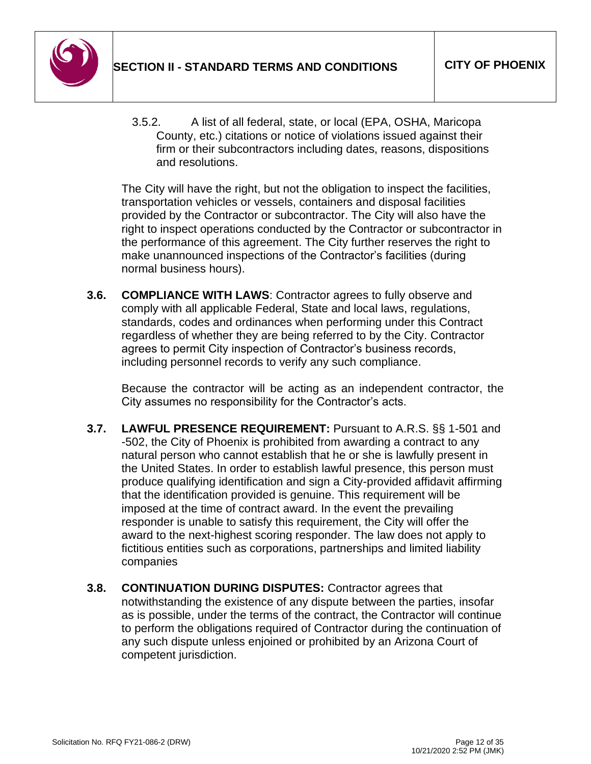

3.5.2. A list of all federal, state, or local (EPA, OSHA, Maricopa County, etc.) citations or notice of violations issued against their firm or their subcontractors including dates, reasons, dispositions and resolutions.

The City will have the right, but not the obligation to inspect the facilities, transportation vehicles or vessels, containers and disposal facilities provided by the Contractor or subcontractor. The City will also have the right to inspect operations conducted by the Contractor or subcontractor in the performance of this agreement. The City further reserves the right to make unannounced inspections of the Contractor's facilities (during normal business hours).

**3.6. COMPLIANCE WITH LAWS**: Contractor agrees to fully observe and comply with all applicable Federal, State and local laws, regulations, standards, codes and ordinances when performing under this Contract regardless of whether they are being referred to by the City. Contractor agrees to permit City inspection of Contractor's business records, including personnel records to verify any such compliance.

Because the contractor will be acting as an independent contractor, the City assumes no responsibility for the Contractor's acts.

- **3.7. LAWFUL PRESENCE REQUIREMENT:** Pursuant to A.R.S. §§ 1-501 and -502, the City of Phoenix is prohibited from awarding a contract to any natural person who cannot establish that he or she is lawfully present in the United States. In order to establish lawful presence, this person must produce qualifying identification and sign a City-provided affidavit affirming that the identification provided is genuine. This requirement will be imposed at the time of contract award. In the event the prevailing responder is unable to satisfy this requirement, the City will offer the award to the next-highest scoring responder. The law does not apply to fictitious entities such as corporations, partnerships and limited liability companies
- **3.8. CONTINUATION DURING DISPUTES:** Contractor agrees that notwithstanding the existence of any dispute between the parties, insofar as is possible, under the terms of the contract, the Contractor will continue to perform the obligations required of Contractor during the continuation of any such dispute unless enjoined or prohibited by an Arizona Court of competent jurisdiction.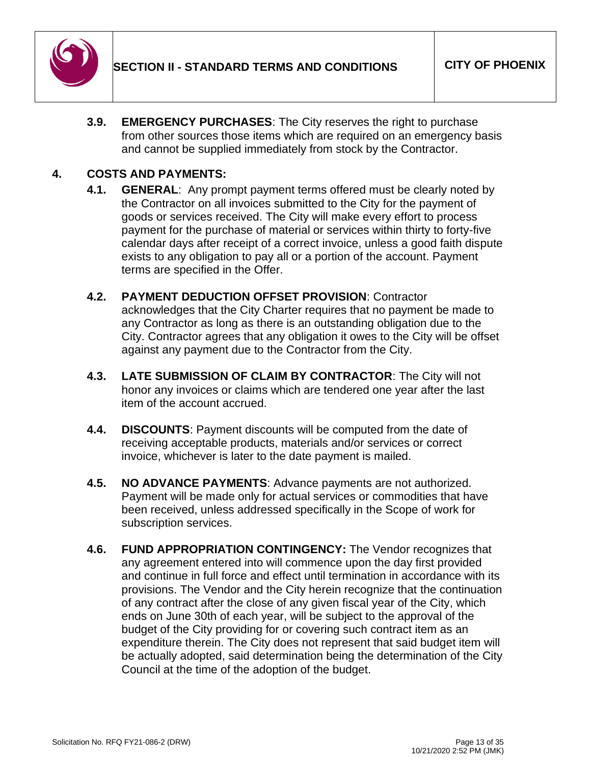

**3.9. EMERGENCY PURCHASES**: The City reserves the right to purchase from other sources those items which are required on an emergency basis and cannot be supplied immediately from stock by the Contractor.

### **4. COSTS AND PAYMENTS:**

- **4.1. GENERAL**: Any prompt payment terms offered must be clearly noted by the Contractor on all invoices submitted to the City for the payment of goods or services received. The City will make every effort to process payment for the purchase of material or services within thirty to forty-five calendar days after receipt of a correct invoice, unless a good faith dispute exists to any obligation to pay all or a portion of the account. Payment terms are specified in the Offer.
- **4.2. PAYMENT DEDUCTION OFFSET PROVISION**: Contractor acknowledges that the City Charter requires that no payment be made to any Contractor as long as there is an outstanding obligation due to the City. Contractor agrees that any obligation it owes to the City will be offset against any payment due to the Contractor from the City.
- **4.3. LATE SUBMISSION OF CLAIM BY CONTRACTOR**: The City will not honor any invoices or claims which are tendered one year after the last item of the account accrued.
- **4.4. DISCOUNTS**: Payment discounts will be computed from the date of receiving acceptable products, materials and/or services or correct invoice, whichever is later to the date payment is mailed.
- **4.5. NO ADVANCE PAYMENTS**: Advance payments are not authorized. Payment will be made only for actual services or commodities that have been received, unless addressed specifically in the Scope of work for subscription services.
- **4.6. FUND APPROPRIATION CONTINGENCY:** The Vendor recognizes that any agreement entered into will commence upon the day first provided and continue in full force and effect until termination in accordance with its provisions. The Vendor and the City herein recognize that the continuation of any contract after the close of any given fiscal year of the City, which ends on June 30th of each year, will be subject to the approval of the budget of the City providing for or covering such contract item as an expenditure therein. The City does not represent that said budget item will be actually adopted, said determination being the determination of the City Council at the time of the adoption of the budget.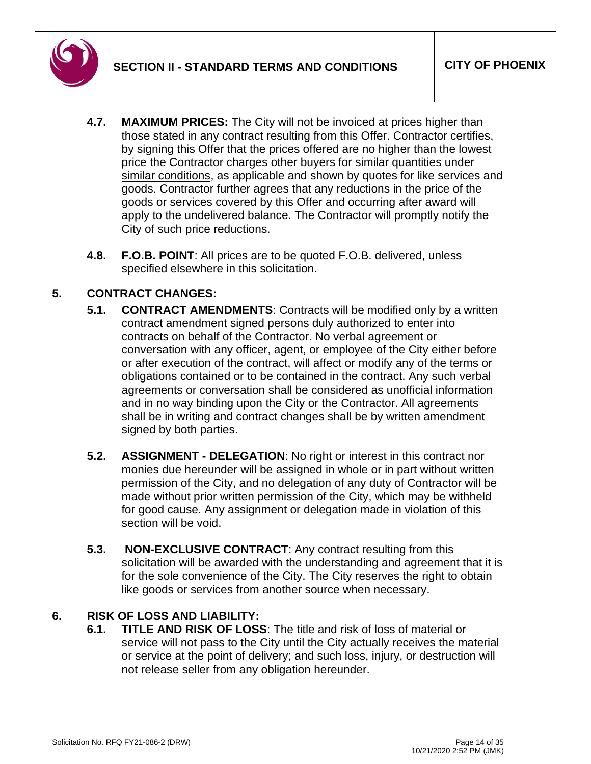

- **4.7. MAXIMUM PRICES:** The City will not be invoiced at prices higher than those stated in any contract resulting from this Offer. Contractor certifies, by signing this Offer that the prices offered are no higher than the lowest price the Contractor charges other buyers for similar quantities under similar conditions, as applicable and shown by quotes for like services and goods. Contractor further agrees that any reductions in the price of the goods or services covered by this Offer and occurring after award will apply to the undelivered balance. The Contractor will promptly notify the City of such price reductions.
- **4.8. F.O.B. POINT**: All prices are to be quoted F.O.B. delivered, unless specified elsewhere in this solicitation.

# **5. CONTRACT CHANGES:**

- **5.1. CONTRACT AMENDMENTS**: Contracts will be modified only by a written contract amendment signed persons duly authorized to enter into contracts on behalf of the Contractor. No verbal agreement or conversation with any officer, agent, or employee of the City either before or after execution of the contract, will affect or modify any of the terms or obligations contained or to be contained in the contract. Any such verbal agreements or conversation shall be considered as unofficial information and in no way binding upon the City or the Contractor. All agreements shall be in writing and contract changes shall be by written amendment signed by both parties.
- **5.2. ASSIGNMENT - DELEGATION**: No right or interest in this contract nor monies due hereunder will be assigned in whole or in part without written permission of the City, and no delegation of any duty of Contractor will be made without prior written permission of the City, which may be withheld for good cause. Any assignment or delegation made in violation of this section will be void.
- **5.3. NON-EXCLUSIVE CONTRACT**: Any contract resulting from this solicitation will be awarded with the understanding and agreement that it is for the sole convenience of the City. The City reserves the right to obtain like goods or services from another source when necessary.

# **6. RISK OF LOSS AND LIABILITY:**

**6.1. TITLE AND RISK OF LOSS**: The title and risk of loss of material or service will not pass to the City until the City actually receives the material or service at the point of delivery; and such loss, injury, or destruction will not release seller from any obligation hereunder.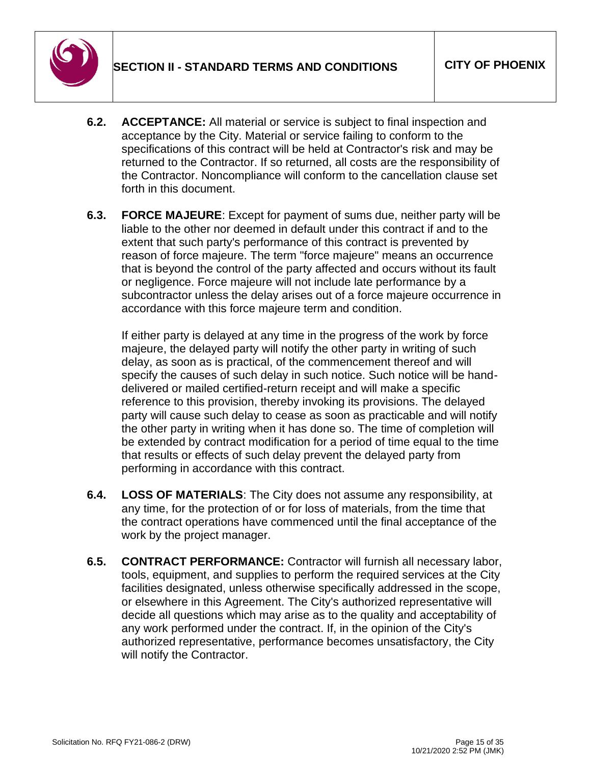

- **6.2. ACCEPTANCE:** All material or service is subject to final inspection and acceptance by the City. Material or service failing to conform to the specifications of this contract will be held at Contractor's risk and may be returned to the Contractor. If so returned, all costs are the responsibility of the Contractor. Noncompliance will conform to the cancellation clause set forth in this document.
- **6.3. FORCE MAJEURE**: Except for payment of sums due, neither party will be liable to the other nor deemed in default under this contract if and to the extent that such party's performance of this contract is prevented by reason of force majeure. The term "force majeure" means an occurrence that is beyond the control of the party affected and occurs without its fault or negligence. Force majeure will not include late performance by a subcontractor unless the delay arises out of a force majeure occurrence in accordance with this force majeure term and condition.

If either party is delayed at any time in the progress of the work by force majeure, the delayed party will notify the other party in writing of such delay, as soon as is practical, of the commencement thereof and will specify the causes of such delay in such notice. Such notice will be handdelivered or mailed certified-return receipt and will make a specific reference to this provision, thereby invoking its provisions. The delayed party will cause such delay to cease as soon as practicable and will notify the other party in writing when it has done so. The time of completion will be extended by contract modification for a period of time equal to the time that results or effects of such delay prevent the delayed party from performing in accordance with this contract.

- **6.4. LOSS OF MATERIALS**: The City does not assume any responsibility, at any time, for the protection of or for loss of materials, from the time that the contract operations have commenced until the final acceptance of the work by the project manager.
- **6.5. CONTRACT PERFORMANCE:** Contractor will furnish all necessary labor, tools, equipment, and supplies to perform the required services at the City facilities designated, unless otherwise specifically addressed in the scope, or elsewhere in this Agreement. The City's authorized representative will decide all questions which may arise as to the quality and acceptability of any work performed under the contract. If, in the opinion of the City's authorized representative, performance becomes unsatisfactory, the City will notify the Contractor.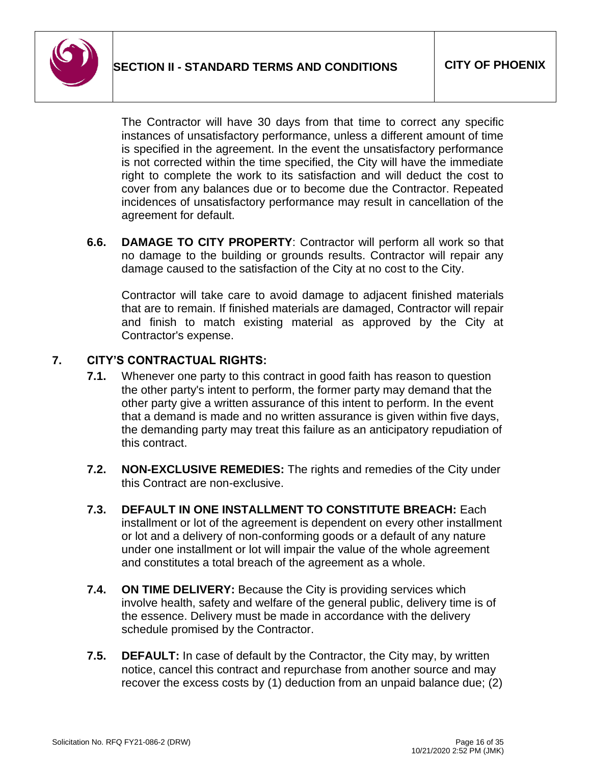

The Contractor will have 30 days from that time to correct any specific instances of unsatisfactory performance, unless a different amount of time is specified in the agreement. In the event the unsatisfactory performance is not corrected within the time specified, the City will have the immediate right to complete the work to its satisfaction and will deduct the cost to cover from any balances due or to become due the Contractor. Repeated incidences of unsatisfactory performance may result in cancellation of the agreement for default.

**6.6. DAMAGE TO CITY PROPERTY**: Contractor will perform all work so that no damage to the building or grounds results. Contractor will repair any damage caused to the satisfaction of the City at no cost to the City.

Contractor will take care to avoid damage to adjacent finished materials that are to remain. If finished materials are damaged, Contractor will repair and finish to match existing material as approved by the City at Contractor's expense.

# **7. CITY'S CONTRACTUAL RIGHTS:**

- **7.1.** Whenever one party to this contract in good faith has reason to question the other party's intent to perform, the former party may demand that the other party give a written assurance of this intent to perform. In the event that a demand is made and no written assurance is given within five days, the demanding party may treat this failure as an anticipatory repudiation of this contract.
- **7.2. NON-EXCLUSIVE REMEDIES:** The rights and remedies of the City under this Contract are non-exclusive.
- **7.3. DEFAULT IN ONE INSTALLMENT TO CONSTITUTE BREACH:** Each installment or lot of the agreement is dependent on every other installment or lot and a delivery of non-conforming goods or a default of any nature under one installment or lot will impair the value of the whole agreement and constitutes a total breach of the agreement as a whole.
- **7.4. ON TIME DELIVERY:** Because the City is providing services which involve health, safety and welfare of the general public, delivery time is of the essence. Delivery must be made in accordance with the delivery schedule promised by the Contractor.
- **7.5. DEFAULT:** In case of default by the Contractor, the City may, by written notice, cancel this contract and repurchase from another source and may recover the excess costs by (1) deduction from an unpaid balance due; (2)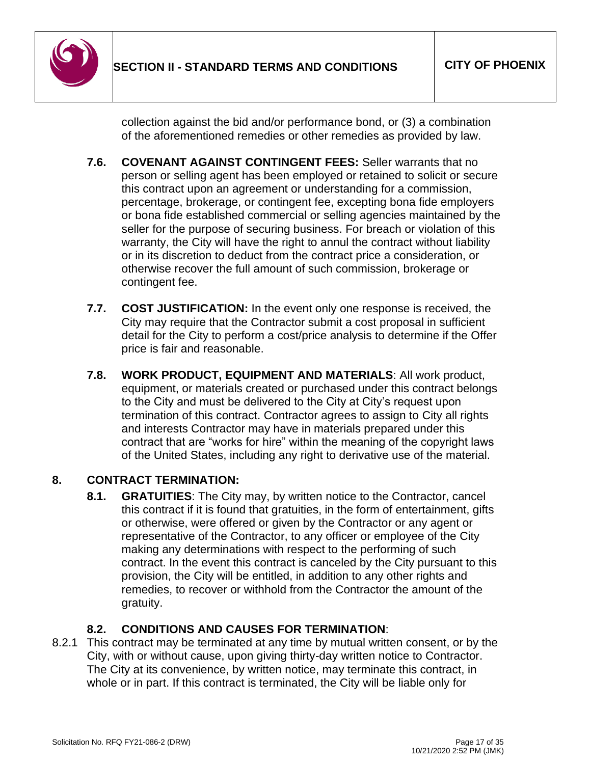

collection against the bid and/or performance bond, or (3) a combination of the aforementioned remedies or other remedies as provided by law.

- **7.6. COVENANT AGAINST CONTINGENT FEES:** Seller warrants that no person or selling agent has been employed or retained to solicit or secure this contract upon an agreement or understanding for a commission, percentage, brokerage, or contingent fee, excepting bona fide employers or bona fide established commercial or selling agencies maintained by the seller for the purpose of securing business. For breach or violation of this warranty, the City will have the right to annul the contract without liability or in its discretion to deduct from the contract price a consideration, or otherwise recover the full amount of such commission, brokerage or contingent fee.
- **7.7. COST JUSTIFICATION:** In the event only one response is received, the City may require that the Contractor submit a cost proposal in sufficient detail for the City to perform a cost/price analysis to determine if the Offer price is fair and reasonable.
- **7.8. WORK PRODUCT, EQUIPMENT AND MATERIALS**: All work product, equipment, or materials created or purchased under this contract belongs to the City and must be delivered to the City at City's request upon termination of this contract. Contractor agrees to assign to City all rights and interests Contractor may have in materials prepared under this contract that are "works for hire" within the meaning of the copyright laws of the United States, including any right to derivative use of the material.

# **8. CONTRACT TERMINATION:**

**8.1. GRATUITIES**: The City may, by written notice to the Contractor, cancel this contract if it is found that gratuities, in the form of entertainment, gifts or otherwise, were offered or given by the Contractor or any agent or representative of the Contractor, to any officer or employee of the City making any determinations with respect to the performing of such contract. In the event this contract is canceled by the City pursuant to this provision, the City will be entitled, in addition to any other rights and remedies, to recover or withhold from the Contractor the amount of the gratuity.

# **8.2. CONDITIONS AND CAUSES FOR TERMINATION**:

8.2.1 This contract may be terminated at any time by mutual written consent, or by the City, with or without cause, upon giving thirty-day written notice to Contractor. The City at its convenience, by written notice, may terminate this contract, in whole or in part. If this contract is terminated, the City will be liable only for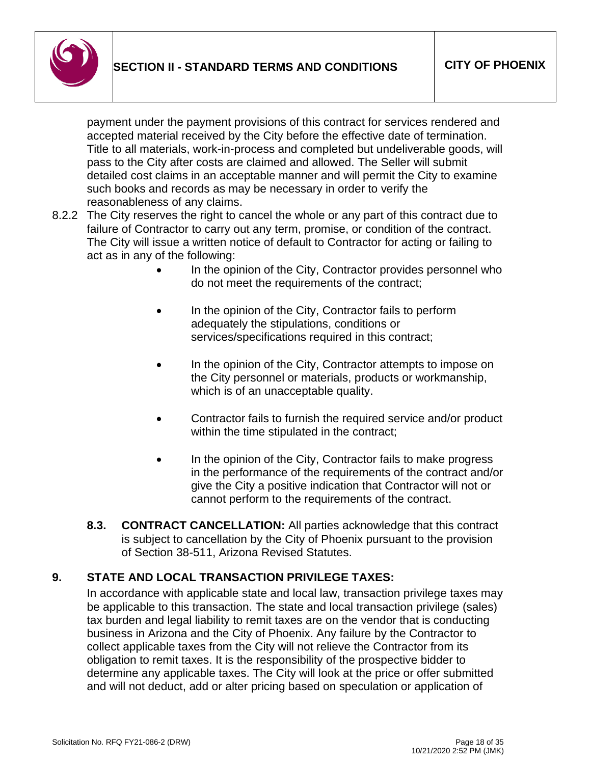

payment under the payment provisions of this contract for services rendered and accepted material received by the City before the effective date of termination. Title to all materials, work-in-process and completed but undeliverable goods, will pass to the City after costs are claimed and allowed. The Seller will submit detailed cost claims in an acceptable manner and will permit the City to examine such books and records as may be necessary in order to verify the reasonableness of any claims.

- 8.2.2 The City reserves the right to cancel the whole or any part of this contract due to failure of Contractor to carry out any term, promise, or condition of the contract. The City will issue a written notice of default to Contractor for acting or failing to act as in any of the following:
	- In the opinion of the City, Contractor provides personnel who do not meet the requirements of the contract;
	- In the opinion of the City, Contractor fails to perform adequately the stipulations, conditions or services/specifications required in this contract;
	- In the opinion of the City, Contractor attempts to impose on the City personnel or materials, products or workmanship, which is of an unacceptable quality.
	- Contractor fails to furnish the required service and/or product within the time stipulated in the contract;
	- In the opinion of the City, Contractor fails to make progress in the performance of the requirements of the contract and/or give the City a positive indication that Contractor will not or cannot perform to the requirements of the contract.
	- **8.3. CONTRACT CANCELLATION:** All parties acknowledge that this contract is subject to cancellation by the City of Phoenix pursuant to the provision of Section 38-511, Arizona Revised Statutes.

# **9. STATE AND LOCAL TRANSACTION PRIVILEGE TAXES:**

In accordance with applicable state and local law, transaction privilege taxes may be applicable to this transaction. The state and local transaction privilege (sales) tax burden and legal liability to remit taxes are on the vendor that is conducting business in Arizona and the City of Phoenix. Any failure by the Contractor to collect applicable taxes from the City will not relieve the Contractor from its obligation to remit taxes. It is the responsibility of the prospective bidder to determine any applicable taxes. The City will look at the price or offer submitted and will not deduct, add or alter pricing based on speculation or application of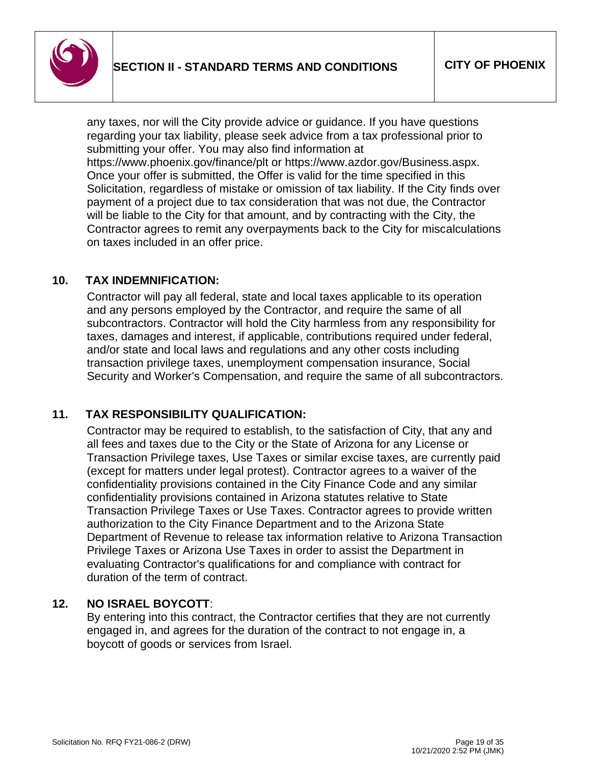

any taxes, nor will the City provide advice or guidance. If you have questions regarding your tax liability, please seek advice from a tax professional prior to submitting your offer. You may also find information at

https://www.phoenix.gov/finance/plt or https://www.azdor.gov/Business.aspx. Once your offer is submitted, the Offer is valid for the time specified in this Solicitation, regardless of mistake or omission of tax liability. If the City finds over payment of a project due to tax consideration that was not due, the Contractor will be liable to the City for that amount, and by contracting with the City, the Contractor agrees to remit any overpayments back to the City for miscalculations on taxes included in an offer price.

### **10. TAX INDEMNIFICATION:**

Contractor will pay all federal, state and local taxes applicable to its operation and any persons employed by the Contractor, and require the same of all subcontractors. Contractor will hold the City harmless from any responsibility for taxes, damages and interest, if applicable, contributions required under federal, and/or state and local laws and regulations and any other costs including transaction privilege taxes, unemployment compensation insurance, Social Security and Worker's Compensation, and require the same of all subcontractors.

# **11. TAX RESPONSIBILITY QUALIFICATION:**

Contractor may be required to establish, to the satisfaction of City, that any and all fees and taxes due to the City or the State of Arizona for any License or Transaction Privilege taxes, Use Taxes or similar excise taxes, are currently paid (except for matters under legal protest). Contractor agrees to a waiver of the confidentiality provisions contained in the City Finance Code and any similar confidentiality provisions contained in Arizona statutes relative to State Transaction Privilege Taxes or Use Taxes. Contractor agrees to provide written authorization to the City Finance Department and to the Arizona State Department of Revenue to release tax information relative to Arizona Transaction Privilege Taxes or Arizona Use Taxes in order to assist the Department in evaluating Contractor's qualifications for and compliance with contract for duration of the term of contract.

#### **12. NO ISRAEL BOYCOTT**:

By entering into this contract, the Contractor certifies that they are not currently engaged in, and agrees for the duration of the contract to not engage in, a boycott of goods or services from Israel.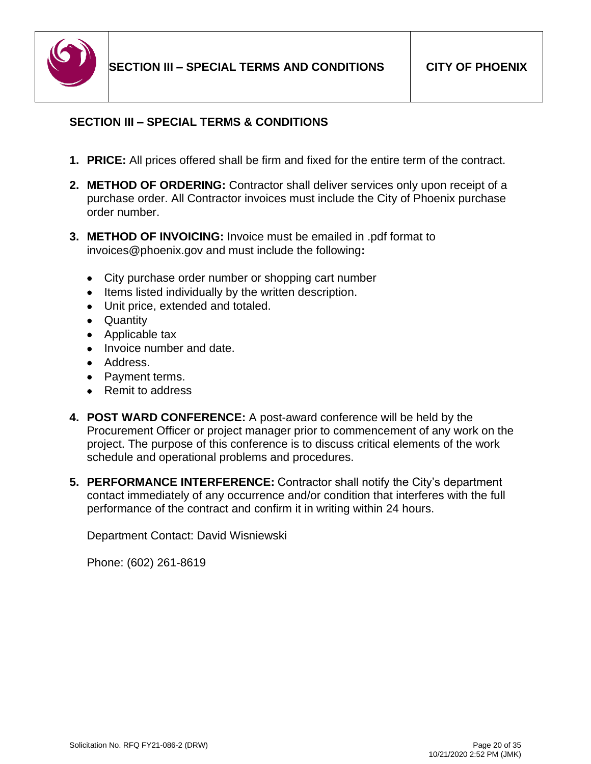

# <span id="page-20-0"></span>**SECTION III – SPECIAL TERMS & CONDITIONS**

- **1. PRICE:** All prices offered shall be firm and fixed for the entire term of the contract.
- **2. METHOD OF ORDERING:** Contractor shall deliver services only upon receipt of a purchase order. All Contractor invoices must include the City of Phoenix purchase order number.
- **3. METHOD OF INVOICING:** Invoice must be emailed in .pdf format to invoices@phoenix.gov and must include the following**:**
	- City purchase order number or shopping cart number
	- Items listed individually by the written description.
	- Unit price, extended and totaled.
	- Quantity
	- Applicable tax
	- Invoice number and date.
	- Address.
	- Payment terms.
	- Remit to address
- **4. POST WARD CONFERENCE:** A post-award conference will be held by the Procurement Officer or project manager prior to commencement of any work on the project. The purpose of this conference is to discuss critical elements of the work schedule and operational problems and procedures.
- **5. PERFORMANCE INTERFERENCE:** Contractor shall notify the City's department contact immediately of any occurrence and/or condition that interferes with the full performance of the contract and confirm it in writing within 24 hours.

Department Contact: David Wisniewski

Phone: (602) 261-8619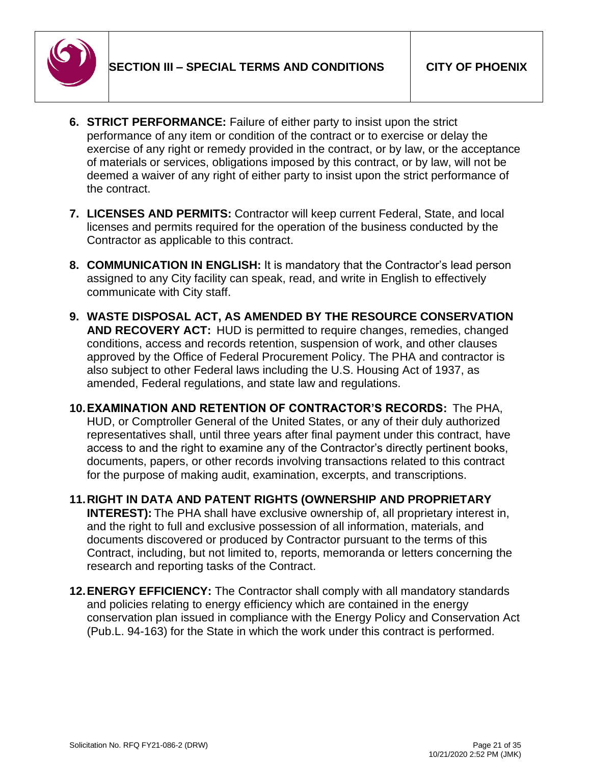

- **6. STRICT PERFORMANCE:** Failure of either party to insist upon the strict performance of any item or condition of the contract or to exercise or delay the exercise of any right or remedy provided in the contract, or by law, or the acceptance of materials or services, obligations imposed by this contract, or by law, will not be deemed a waiver of any right of either party to insist upon the strict performance of the contract.
- **7. LICENSES AND PERMITS:** Contractor will keep current Federal, State, and local licenses and permits required for the operation of the business conducted by the Contractor as applicable to this contract.
- **8. COMMUNICATION IN ENGLISH:** It is mandatory that the Contractor's lead person assigned to any City facility can speak, read, and write in English to effectively communicate with City staff.
- **9. WASTE DISPOSAL ACT, AS AMENDED BY THE RESOURCE CONSERVATION AND RECOVERY ACT:** HUD is permitted to require changes, remedies, changed conditions, access and records retention, suspension of work, and other clauses approved by the Office of Federal Procurement Policy. The PHA and contractor is also subject to other Federal laws including the U.S. Housing Act of 1937, as amended, Federal regulations, and state law and regulations.
- **10.EXAMINATION AND RETENTION OF CONTRACTOR'S RECORDS:** The PHA, HUD, or Comptroller General of the United States, or any of their duly authorized representatives shall, until three years after final payment under this contract, have access to and the right to examine any of the Contractor's directly pertinent books, documents, papers, or other records involving transactions related to this contract for the purpose of making audit, examination, excerpts, and transcriptions.
- **11.RIGHT IN DATA AND PATENT RIGHTS (OWNERSHIP AND PROPRIETARY INTEREST):** The PHA shall have exclusive ownership of, all proprietary interest in, and the right to full and exclusive possession of all information, materials, and documents discovered or produced by Contractor pursuant to the terms of this Contract, including, but not limited to, reports, memoranda or letters concerning the research and reporting tasks of the Contract.
- **12.ENERGY EFFICIENCY:** The Contractor shall comply with all mandatory standards and policies relating to energy efficiency which are contained in the energy conservation plan issued in compliance with the Energy Policy and Conservation Act (Pub.L. 94-163) for the State in which the work under this contract is performed.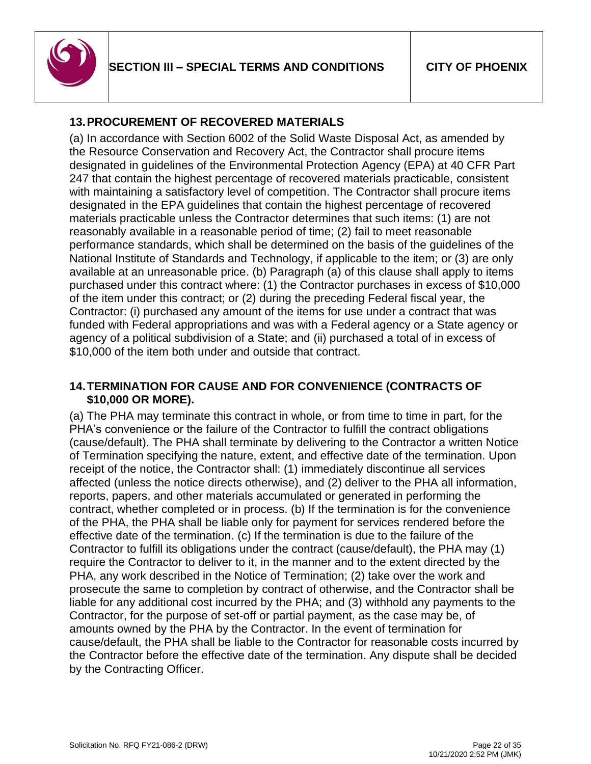

# **13.PROCUREMENT OF RECOVERED MATERIALS**

(a) In accordance with Section 6002 of the Solid Waste Disposal Act, as amended by the Resource Conservation and Recovery Act, the Contractor shall procure items designated in guidelines of the Environmental Protection Agency (EPA) at 40 CFR Part 247 that contain the highest percentage of recovered materials practicable, consistent with maintaining a satisfactory level of competition. The Contractor shall procure items designated in the EPA guidelines that contain the highest percentage of recovered materials practicable unless the Contractor determines that such items: (1) are not reasonably available in a reasonable period of time; (2) fail to meet reasonable performance standards, which shall be determined on the basis of the guidelines of the National Institute of Standards and Technology, if applicable to the item; or (3) are only available at an unreasonable price. (b) Paragraph (a) of this clause shall apply to items purchased under this contract where: (1) the Contractor purchases in excess of \$10,000 of the item under this contract; or (2) during the preceding Federal fiscal year, the Contractor: (i) purchased any amount of the items for use under a contract that was funded with Federal appropriations and was with a Federal agency or a State agency or agency of a political subdivision of a State; and (ii) purchased a total of in excess of \$10,000 of the item both under and outside that contract.

### **14.TERMINATION FOR CAUSE AND FOR CONVENIENCE (CONTRACTS OF \$10,000 OR MORE).**

(a) The PHA may terminate this contract in whole, or from time to time in part, for the PHA's convenience or the failure of the Contractor to fulfill the contract obligations (cause/default). The PHA shall terminate by delivering to the Contractor a written Notice of Termination specifying the nature, extent, and effective date of the termination. Upon receipt of the notice, the Contractor shall: (1) immediately discontinue all services affected (unless the notice directs otherwise), and (2) deliver to the PHA all information, reports, papers, and other materials accumulated or generated in performing the contract, whether completed or in process. (b) If the termination is for the convenience of the PHA, the PHA shall be liable only for payment for services rendered before the effective date of the termination. (c) If the termination is due to the failure of the Contractor to fulfill its obligations under the contract (cause/default), the PHA may (1) require the Contractor to deliver to it, in the manner and to the extent directed by the PHA, any work described in the Notice of Termination; (2) take over the work and prosecute the same to completion by contract of otherwise, and the Contractor shall be liable for any additional cost incurred by the PHA; and (3) withhold any payments to the Contractor, for the purpose of set-off or partial payment, as the case may be, of amounts owned by the PHA by the Contractor. In the event of termination for cause/default, the PHA shall be liable to the Contractor for reasonable costs incurred by the Contractor before the effective date of the termination. Any dispute shall be decided by the Contracting Officer.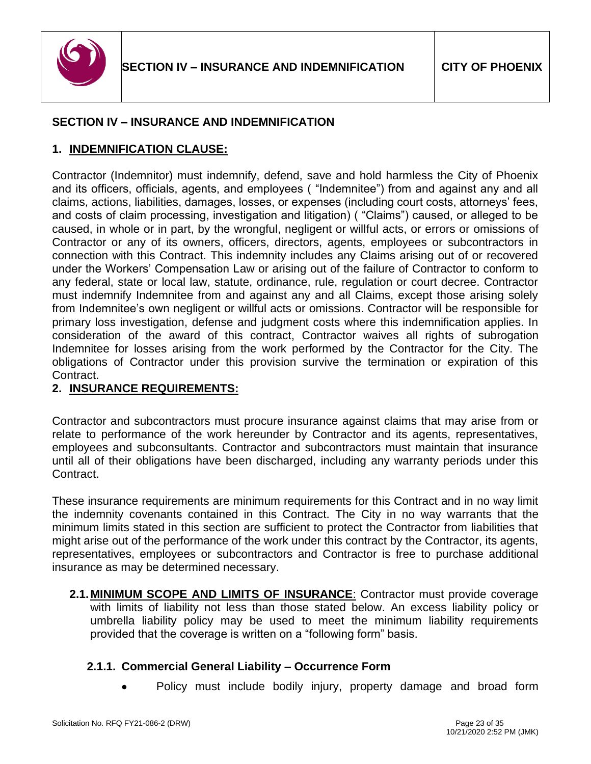

### <span id="page-23-0"></span>**SECTION IV – INSURANCE AND INDEMNIFICATION**

#### **1. INDEMNIFICATION CLAUSE:**

Contractor (Indemnitor) must indemnify, defend, save and hold harmless the City of Phoenix and its officers, officials, agents, and employees ( "Indemnitee") from and against any and all claims, actions, liabilities, damages, losses, or expenses (including court costs, attorneys' fees, and costs of claim processing, investigation and litigation) ( "Claims") caused, or alleged to be caused, in whole or in part, by the wrongful, negligent or willful acts, or errors or omissions of Contractor or any of its owners, officers, directors, agents, employees or subcontractors in connection with this Contract. This indemnity includes any Claims arising out of or recovered under the Workers' Compensation Law or arising out of the failure of Contractor to conform to any federal, state or local law, statute, ordinance, rule, regulation or court decree. Contractor must indemnify Indemnitee from and against any and all Claims, except those arising solely from Indemnitee's own negligent or willful acts or omissions. Contractor will be responsible for primary loss investigation, defense and judgment costs where this indemnification applies. In consideration of the award of this contract, Contractor waives all rights of subrogation Indemnitee for losses arising from the work performed by the Contractor for the City. The obligations of Contractor under this provision survive the termination or expiration of this Contract.

#### **2. INSURANCE REQUIREMENTS:**

Contractor and subcontractors must procure insurance against claims that may arise from or relate to performance of the work hereunder by Contractor and its agents, representatives, employees and subconsultants. Contractor and subcontractors must maintain that insurance until all of their obligations have been discharged, including any warranty periods under this Contract.

These insurance requirements are minimum requirements for this Contract and in no way limit the indemnity covenants contained in this Contract. The City in no way warrants that the minimum limits stated in this section are sufficient to protect the Contractor from liabilities that might arise out of the performance of the work under this contract by the Contractor, its agents, representatives, employees or subcontractors and Contractor is free to purchase additional insurance as may be determined necessary.

**2.1.MINIMUM SCOPE AND LIMITS OF INSURANCE**: Contractor must provide coverage with limits of liability not less than those stated below. An excess liability policy or umbrella liability policy may be used to meet the minimum liability requirements provided that the coverage is written on a "following form" basis.

#### **2.1.1. Commercial General Liability – Occurrence Form**

• Policy must include bodily injury, property damage and broad form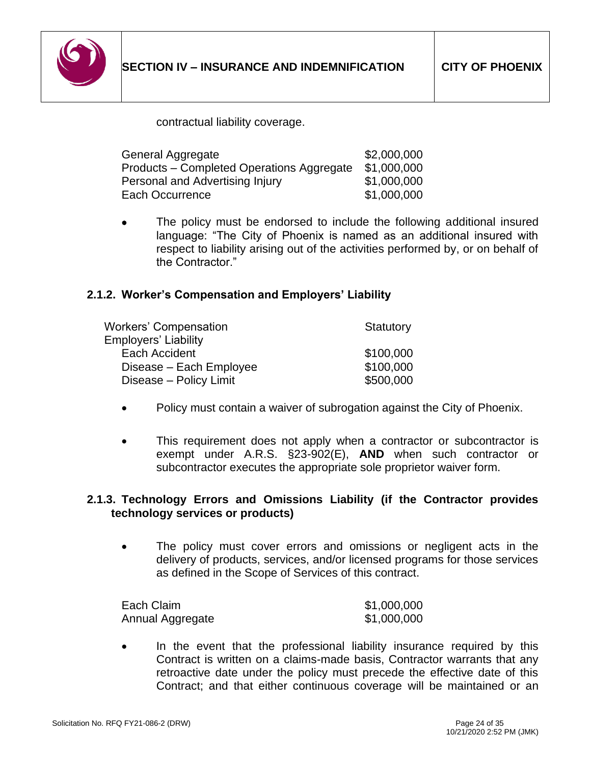

contractual liability coverage.

| General Aggregate                         | \$2,000,000 |
|-------------------------------------------|-------------|
| Products – Completed Operations Aggregate | \$1,000,000 |
| Personal and Advertising Injury           | \$1,000,000 |
| Each Occurrence                           | \$1,000,000 |

The policy must be endorsed to include the following additional insured language: "The City of Phoenix is named as an additional insured with respect to liability arising out of the activities performed by, or on behalf of the Contractor."

#### **2.1.2. Worker's Compensation and Employers' Liability**

| <b>Workers' Compensation</b> | <b>Statutory</b> |
|------------------------------|------------------|
| <b>Employers' Liability</b>  |                  |
| Each Accident                | \$100,000        |
| Disease – Each Employee      | \$100,000        |
| Disease - Policy Limit       | \$500,000        |

- Policy must contain a waiver of subrogation against the City of Phoenix.
- This requirement does not apply when a contractor or subcontractor is exempt under A.R.S. §23-902(E), **AND** when such contractor or subcontractor executes the appropriate sole proprietor waiver form.

#### **2.1.3. Technology Errors and Omissions Liability (if the Contractor provides technology services or products)**

The policy must cover errors and omissions or negligent acts in the delivery of products, services, and/or licensed programs for those services as defined in the Scope of Services of this contract.

| Each Claim       | \$1,000,000 |
|------------------|-------------|
| Annual Aggregate | \$1,000,000 |

In the event that the professional liability insurance required by this Contract is written on a claims-made basis, Contractor warrants that any retroactive date under the policy must precede the effective date of this Contract; and that either continuous coverage will be maintained or an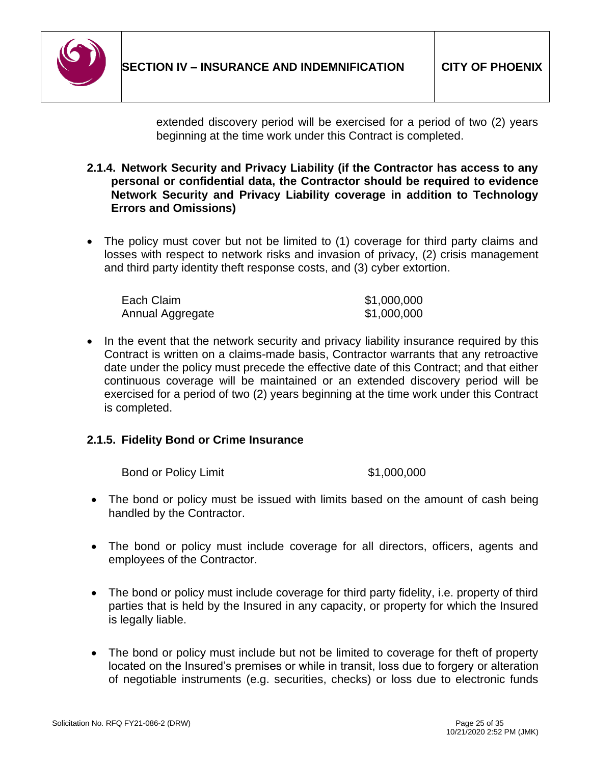

extended discovery period will be exercised for a period of two (2) years beginning at the time work under this Contract is completed.

- **2.1.4. Network Security and Privacy Liability (if the Contractor has access to any personal or confidential data, the Contractor should be required to evidence Network Security and Privacy Liability coverage in addition to Technology Errors and Omissions)**
- The policy must cover but not be limited to (1) coverage for third party claims and losses with respect to network risks and invasion of privacy, (2) crisis management and third party identity theft response costs, and (3) cyber extortion.

| Each Claim       | \$1,000,000 |
|------------------|-------------|
| Annual Aggregate | \$1,000,000 |

• In the event that the network security and privacy liability insurance required by this Contract is written on a claims-made basis, Contractor warrants that any retroactive date under the policy must precede the effective date of this Contract; and that either continuous coverage will be maintained or an extended discovery period will be exercised for a period of two (2) years beginning at the time work under this Contract is completed.

# **2.1.5. Fidelity Bond or Crime Insurance**

Bond or Policy Limit  $$1,000,000$ 

- The bond or policy must be issued with limits based on the amount of cash being handled by the Contractor.
- The bond or policy must include coverage for all directors, officers, agents and employees of the Contractor.
- The bond or policy must include coverage for third party fidelity, i.e. property of third parties that is held by the Insured in any capacity, or property for which the Insured is legally liable.
- The bond or policy must include but not be limited to coverage for theft of property located on the Insured's premises or while in transit, loss due to forgery or alteration of negotiable instruments (e.g. securities, checks) or loss due to electronic funds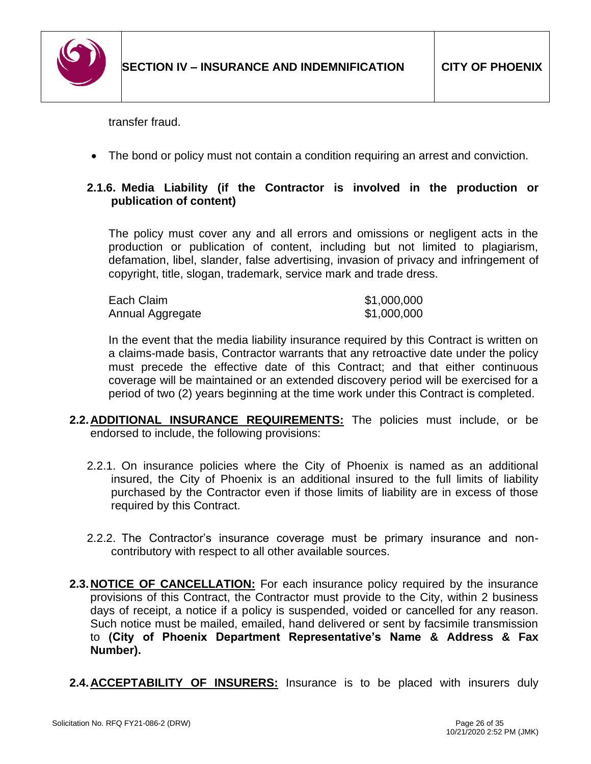

transfer fraud.

• The bond or policy must not contain a condition requiring an arrest and conviction.

### **2.1.6. Media Liability (if the Contractor is involved in the production or publication of content)**

The policy must cover any and all errors and omissions or negligent acts in the production or publication of content, including but not limited to plagiarism, defamation, libel, slander, false advertising, invasion of privacy and infringement of copyright, title, slogan, trademark, service mark and trade dress.

| Each Claim       | \$1,000,000 |
|------------------|-------------|
| Annual Aggregate | \$1,000,000 |

In the event that the media liability insurance required by this Contract is written on a claims-made basis, Contractor warrants that any retroactive date under the policy must precede the effective date of this Contract; and that either continuous coverage will be maintained or an extended discovery period will be exercised for a period of two (2) years beginning at the time work under this Contract is completed.

- **2.2.ADDITIONAL INSURANCE REQUIREMENTS:** The policies must include, or be endorsed to include, the following provisions:
	- 2.2.1. On insurance policies where the City of Phoenix is named as an additional insured, the City of Phoenix is an additional insured to the full limits of liability purchased by the Contractor even if those limits of liability are in excess of those required by this Contract.
	- 2.2.2. The Contractor's insurance coverage must be primary insurance and noncontributory with respect to all other available sources.
- **2.3.NOTICE OF CANCELLATION:** For each insurance policy required by the insurance provisions of this Contract, the Contractor must provide to the City, within 2 business days of receipt, a notice if a policy is suspended, voided or cancelled for any reason. Such notice must be mailed, emailed, hand delivered or sent by facsimile transmission to **(City of Phoenix Department Representative's Name & Address & Fax Number).**
- **2.4.ACCEPTABILITY OF INSURERS:** Insurance is to be placed with insurers duly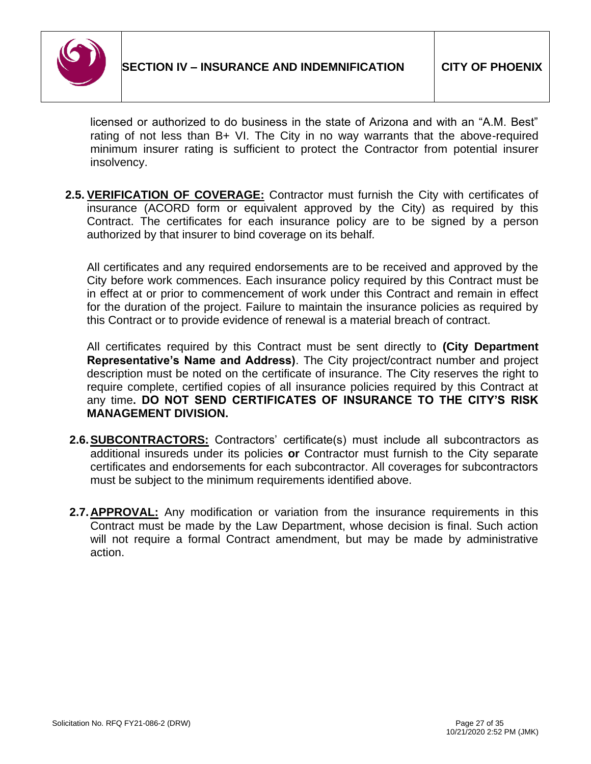

licensed or authorized to do business in the state of Arizona and with an "A.M. Best" rating of not less than B+ VI. The City in no way warrants that the above-required minimum insurer rating is sufficient to protect the Contractor from potential insurer insolvency.

**2.5. VERIFICATION OF COVERAGE:** Contractor must furnish the City with certificates of insurance (ACORD form or equivalent approved by the City) as required by this Contract. The certificates for each insurance policy are to be signed by a person authorized by that insurer to bind coverage on its behalf*.*

All certificates and any required endorsements are to be received and approved by the City before work commences. Each insurance policy required by this Contract must be in effect at or prior to commencement of work under this Contract and remain in effect for the duration of the project. Failure to maintain the insurance policies as required by this Contract or to provide evidence of renewal is a material breach of contract.

All certificates required by this Contract must be sent directly to **(City Department Representative's Name and Address)**. The City project/contract number and project description must be noted on the certificate of insurance. The City reserves the right to require complete, certified copies of all insurance policies required by this Contract at any time**. DO NOT SEND CERTIFICATES OF INSURANCE TO THE CITY'S RISK MANAGEMENT DIVISION.**

- **2.6.SUBCONTRACTORS:** Contractors' certificate(s) must include all subcontractors as additional insureds under its policies **or** Contractor must furnish to the City separate certificates and endorsements for each subcontractor. All coverages for subcontractors must be subject to the minimum requirements identified above.
- **2.7. APPROVAL:** Any modification or variation from the insurance requirements in this Contract must be made by the Law Department, whose decision is final. Such action will not require a formal Contract amendment, but may be made by administrative action.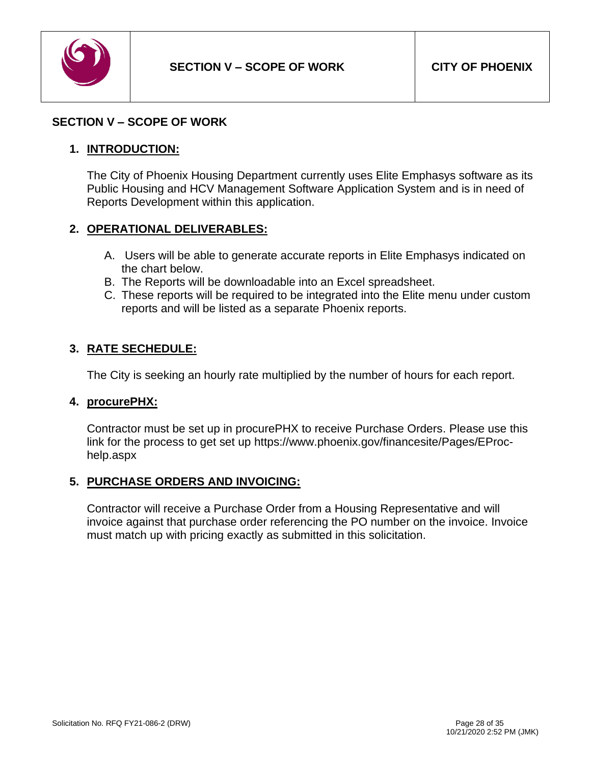

#### <span id="page-28-0"></span>**SECTION V – SCOPE OF WORK**

#### **1. INTRODUCTION:**

The City of Phoenix Housing Department currently uses Elite Emphasys software as its Public Housing and HCV Management Software Application System and is in need of Reports Development within this application.

#### **2. OPERATIONAL DELIVERABLES:**

- A. Users will be able to generate accurate reports in Elite Emphasys indicated on the chart below.
- B. The Reports will be downloadable into an Excel spreadsheet.
- C. These reports will be required to be integrated into the Elite menu under custom reports and will be listed as a separate Phoenix reports.

### **3. RATE SECHEDULE:**

The City is seeking an hourly rate multiplied by the number of hours for each report.

#### **4. procurePHX:**

Contractor must be set up in procurePHX to receive Purchase Orders. Please use this link for the process to get set up https://www.phoenix.gov/financesite/Pages/EProchelp.aspx

#### **5. PURCHASE ORDERS AND INVOICING:**

Contractor will receive a Purchase Order from a Housing Representative and will invoice against that purchase order referencing the PO number on the invoice. Invoice must match up with pricing exactly as submitted in this solicitation.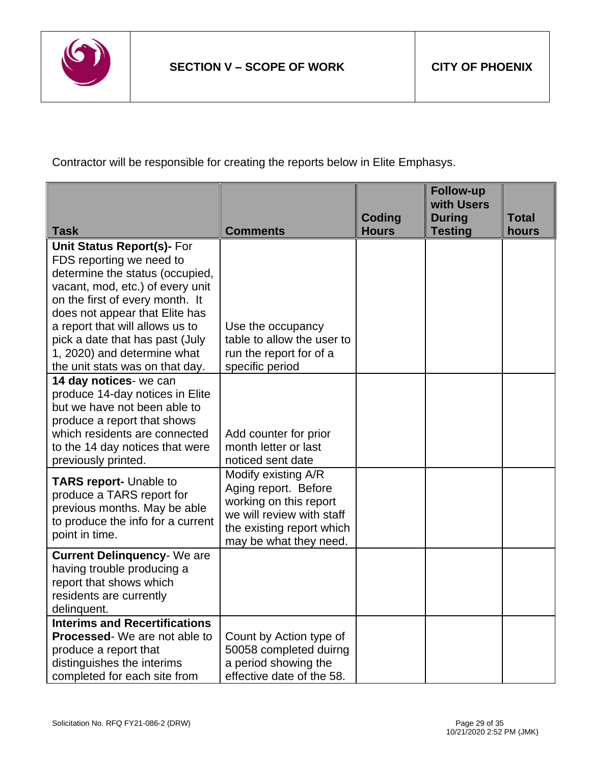

Contractor will be responsible for creating the reports below in Elite Emphasys.

|                                                                                                                                                                                                                                                                                                                |                                                                                                                                                           | <b>Coding</b> | <b>Follow-up</b><br>with Users<br><b>During</b> | <b>Total</b> |
|----------------------------------------------------------------------------------------------------------------------------------------------------------------------------------------------------------------------------------------------------------------------------------------------------------------|-----------------------------------------------------------------------------------------------------------------------------------------------------------|---------------|-------------------------------------------------|--------------|
| <b>Task</b>                                                                                                                                                                                                                                                                                                    | <b>Comments</b>                                                                                                                                           | <b>Hours</b>  | <b>Testing</b>                                  | hours        |
| <b>Unit Status Report(s)- For</b><br>FDS reporting we need to<br>determine the status (occupied,<br>vacant, mod, etc.) of every unit<br>on the first of every month. It<br>does not appear that Elite has<br>a report that will allows us to<br>pick a date that has past (July<br>1, 2020) and determine what | Use the occupancy<br>table to allow the user to<br>run the report for of a                                                                                |               |                                                 |              |
| the unit stats was on that day.                                                                                                                                                                                                                                                                                | specific period                                                                                                                                           |               |                                                 |              |
| 14 day notices- we can<br>produce 14-day notices in Elite<br>but we have not been able to<br>produce a report that shows<br>which residents are connected<br>to the 14 day notices that were<br>previously printed.                                                                                            | Add counter for prior<br>month letter or last<br>noticed sent date                                                                                        |               |                                                 |              |
| <b>TARS report-</b> Unable to<br>produce a TARS report for<br>previous months. May be able<br>to produce the info for a current<br>point in time.                                                                                                                                                              | Modify existing A/R<br>Aging report. Before<br>working on this report<br>we will review with staff<br>the existing report which<br>may be what they need. |               |                                                 |              |
| <b>Current Delinquency- We are</b><br>having trouble producing a<br>report that shows which<br>residents are currently<br>delinquent.                                                                                                                                                                          |                                                                                                                                                           |               |                                                 |              |
| <b>Interims and Recertifications</b>                                                                                                                                                                                                                                                                           |                                                                                                                                                           |               |                                                 |              |
| <b>Processed-</b> We are not able to<br>produce a report that<br>distinguishes the interims<br>completed for each site from                                                                                                                                                                                    | Count by Action type of<br>50058 completed duirng<br>a period showing the<br>effective date of the 58.                                                    |               |                                                 |              |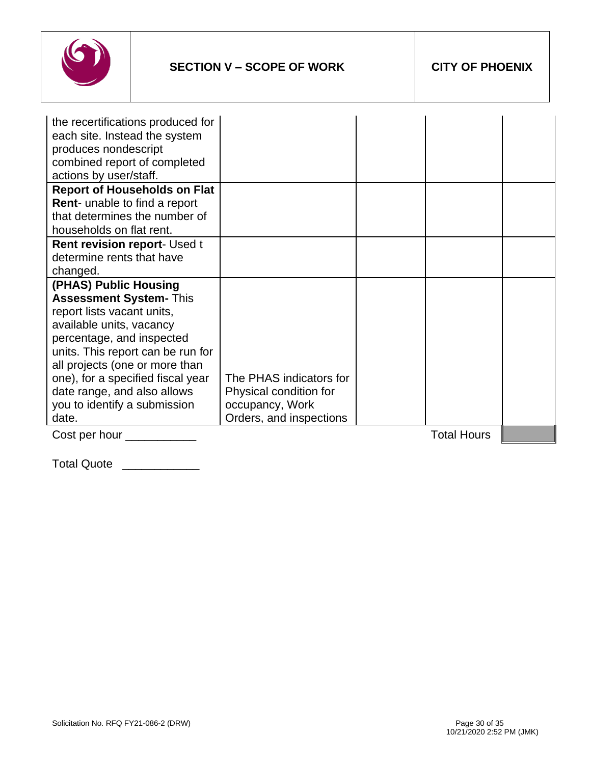

| the recertifications produced for   |                         |                    |  |
|-------------------------------------|-------------------------|--------------------|--|
| each site. Instead the system       |                         |                    |  |
| produces nondescript                |                         |                    |  |
| combined report of completed        |                         |                    |  |
| actions by user/staff.              |                         |                    |  |
| <b>Report of Households on Flat</b> |                         |                    |  |
| Rent- unable to find a report       |                         |                    |  |
| that determines the number of       |                         |                    |  |
| households on flat rent.            |                         |                    |  |
| <b>Rent revision report- Used t</b> |                         |                    |  |
| determine rents that have           |                         |                    |  |
| changed.                            |                         |                    |  |
| (PHAS) Public Housing               |                         |                    |  |
| <b>Assessment System- This</b>      |                         |                    |  |
| report lists vacant units,          |                         |                    |  |
| available units, vacancy            |                         |                    |  |
| percentage, and inspected           |                         |                    |  |
| units. This report can be run for   |                         |                    |  |
| all projects (one or more than      |                         |                    |  |
| one), for a specified fiscal year   | The PHAS indicators for |                    |  |
| date range, and also allows         | Physical condition for  |                    |  |
| you to identify a submission        | occupancy, Work         |                    |  |
| date.                               | Orders, and inspections |                    |  |
| Cost per hour _                     |                         | <b>Total Hours</b> |  |

Total Quote \_\_\_\_\_\_\_\_\_\_\_\_\_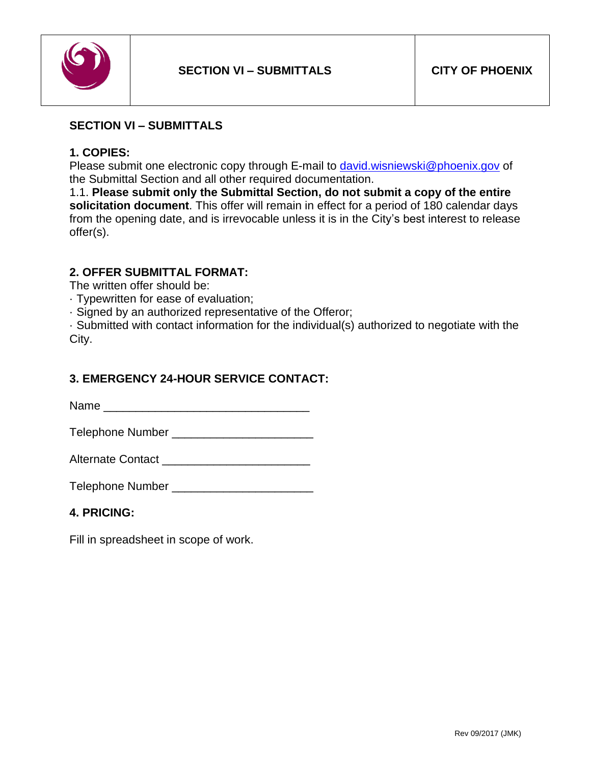

### <span id="page-31-0"></span>**SECTION VI – SUBMITTALS**

#### **1. COPIES:**

Please submit one electronic copy through E-mail to [david.wisniewski@phoenix.gov](mailto:david.wisniewski@phoenix.gov) of the Submittal Section and all other required documentation.

1.1. **Please submit only the Submittal Section, do not submit a copy of the entire solicitation document**. This offer will remain in effect for a period of 180 calendar days from the opening date, and is irrevocable unless it is in the City's best interest to release offer(s).

### **2. OFFER SUBMITTAL FORMAT:**

The written offer should be:

· Typewritten for ease of evaluation;

· Signed by an authorized representative of the Offeror;

· Submitted with contact information for the individual(s) authorized to negotiate with the City.

### **3. EMERGENCY 24-HOUR SERVICE CONTACT:**

Name \_\_\_\_\_\_\_\_\_\_\_\_\_\_\_\_\_\_\_\_\_\_\_\_\_\_\_\_\_\_\_\_

Telephone Number \_\_\_\_\_\_\_\_\_\_\_\_\_\_\_\_\_\_\_\_\_\_

Alternate Contact \_\_\_\_\_\_\_\_\_\_\_\_\_\_\_\_\_\_\_\_\_\_\_

Telephone Number \_\_\_\_\_\_\_\_\_\_\_\_\_\_\_\_\_\_\_\_\_\_

#### **4. PRICING:**

Fill in spreadsheet in scope of work.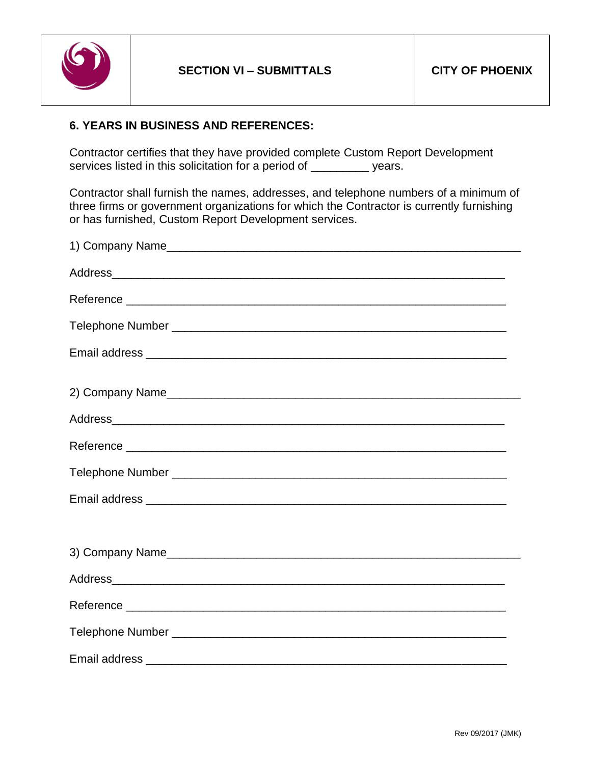

### **6. YEARS IN BUSINESS AND REFERENCES:**

Contractor certifies that they have provided complete Custom Report Development services listed in this solicitation for a period of \_\_\_\_\_\_\_\_\_ years.

Contractor shall furnish the names, addresses, and telephone numbers of a minimum of three firms or government organizations for which the Contractor is currently furnishing or has furnished, Custom Report Development services.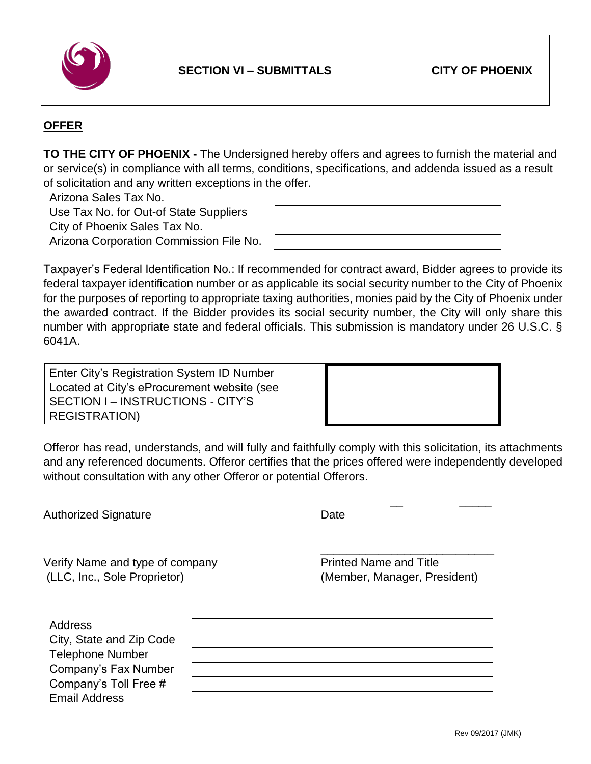

# **OFFER**

**TO THE CITY OF PHOENIX -** The Undersigned hereby offers and agrees to furnish the material and or service(s) in compliance with all terms, conditions, specifications, and addenda issued as a result of solicitation and any written exceptions in the offer.

Arizona Sales Tax No.

Use Tax No. for Out-of State Suppliers

City of Phoenix Sales Tax No.

Arizona Corporation Commission File No.

Taxpayer's Federal Identification No.: If recommended for contract award, Bidder agrees to provide its federal taxpayer identification number or as applicable its social security number to the City of Phoenix for the purposes of reporting to appropriate taxing authorities, monies paid by the City of Phoenix under the awarded contract. If the Bidder provides its social security number, the City will only share this number with appropriate state and federal officials. This submission is mandatory under 26 U.S.C. § 6041A.

| Enter City's Registration System ID Number  |  |
|---------------------------------------------|--|
| Located at City's eProcurement website (see |  |
| SECTION I – INSTRUCTIONS - CITY'S           |  |
| REGISTRATION)                               |  |

Offeror has read, understands, and will fully and faithfully comply with this solicitation, its attachments and any referenced documents. Offeror certifies that the prices offered were independently developed without consultation with any other Offeror or potential Offerors.

Authorized Signature **Date** Date

Verify Name and type of company example and Title Printed Name and Title (LLC, Inc., Sole Proprietor) (Member, Manager, President)

\_\_\_\_\_\_\_\_\_\_\_\_\_\_\_\_\_\_\_\_\_\_\_\_\_\_\_

\_\_ \_\_\_\_\_

Address City, State and Zip Code Telephone Number Company's Fax Number Company's Toll Free # Email Address